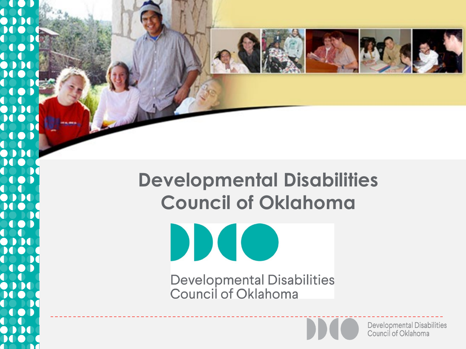### **Developmental Disabilities Council of Oklahoma**

Developmental Disabilities<br>Council of Oklahoma

DD

 $\mathbf{I}$ 



**Developmental Disabilities** Council of Oklahoma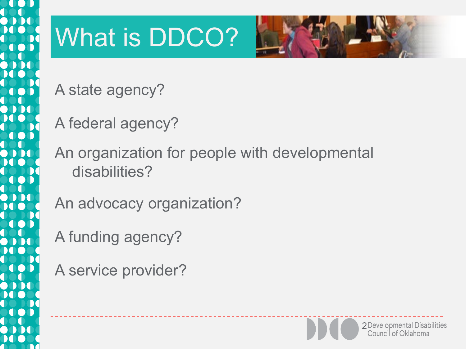

# What is DDCO?



A state agency?

A federal agency?

An organization for people with developmental disabilities?

An advocacy organization?

A funding agency?

A service provider?

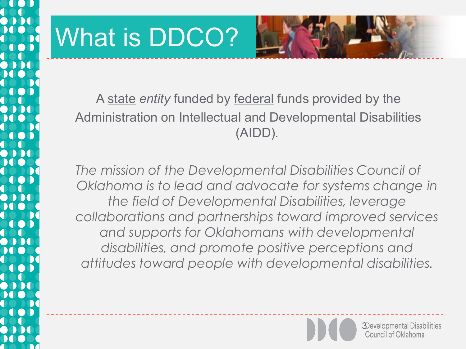# What is DDCO?



A state *entity* funded by federal funds provided by the Administration on Intellectual and Developmental Disabilities (AIDD).

*The mission of the Developmental Disabilities Council of Oklahoma is to lead and advocate for systems change in the field of Developmental Disabilities, leverage collaborations and partnerships toward improved services and supports for Oklahomans with developmental disabilities, and promote positive perceptions and attitudes toward people with developmental disabilities.* 

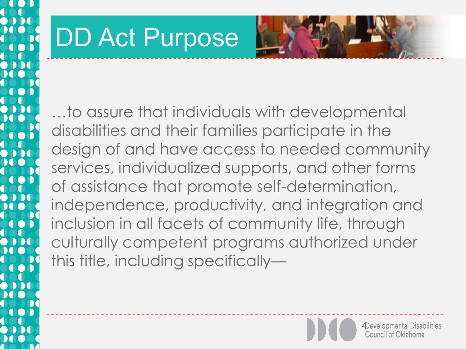# DD Act Purpose



…to assure that individuals with developmental disabilities and their families participate in the design of and have access to needed community services, individualized supports, and other forms of assistance that promote self-determination, independence, productivity, and integration and inclusion in all facets of community life, through culturally competent programs authorized under this title, including specifically—

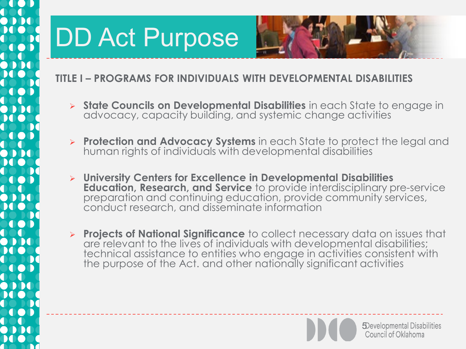

#### **TITLE I – PROGRAMS FOR INDIVIDUALS WITH DEVELOPMENTAL DISABILITIES**

- **State Councils on Developmental Disabilities** in each State to engage in advocacy, capacity building, and systemic change activities
- **Protection and Advocacy Systems** in each State to protect the legal and human rights of individuals with developmental disabilities
- **University Centers for Excellence in Developmental Disabilities Education, Research, and Service** to provide interdisciplinary pre-service preparation and continuing education, provide community services, conduct research, and disseminate information
- **Projects of National Significance** to collect necessary data on issues that are relevant to the lives of individuals with developmental disabilities; technical assistance to entities who engage in activities consistent with the purpose of the Act. and other nationally significant activities



5 Sevelopmental Disabilities<br>Council of Oklahoma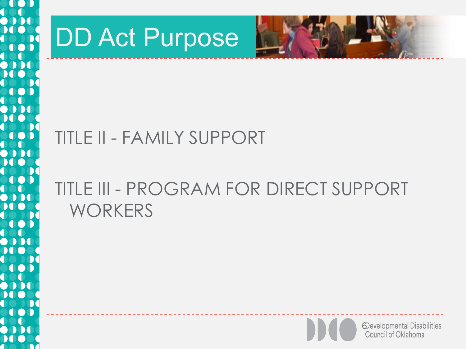

# DD Act Purpose



### TITLE II - FAMILY SUPPORT

### TITLE III - PROGRAM FOR DIRECT SUPPORT **WORKERS**

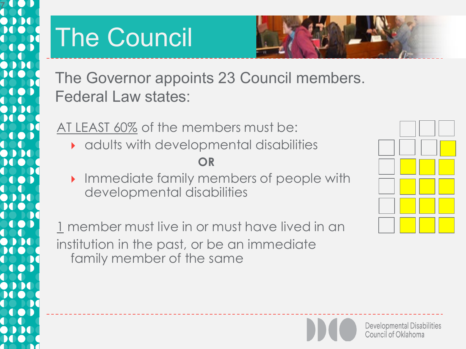

# The Council



The Governor appoints 23 Council members. Federal Law states:

AT LEAST 60% of the members must be:

adults with developmental disabilities

#### **OR**

**Immediate family members of people with** developmental disabilities

1 member must live in or must have lived in an institution in the past, or be an immediate family member of the same



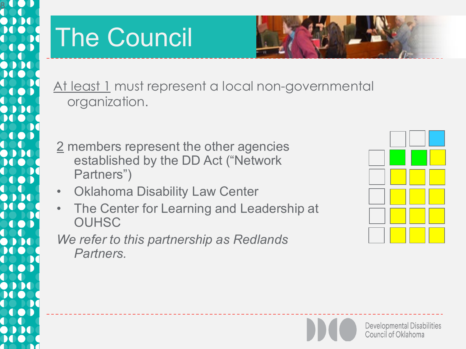

# The Council



At least 1 must represent a local non-governmental organization.

- 2 members represent the other agencies established by the DD Act ("Network Partners")
- Oklahoma Disability Law Center
- The Center for Learning and Leadership at **OUHSC**

### *We refer to this partnership as Redlands Partners.*

| _____ |  |
|-------|--|
|       |  |
|       |  |
|       |  |
|       |  |

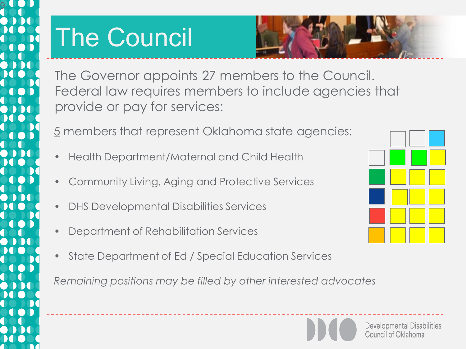

# The Council



The Governor appoints 27 members to the Council. Federal law requires members to include agencies that provide or pay for services:

5 members that represent Oklahoma state agencies:

- Health Department/Maternal and Child Health
- Community Living, Aging and Protective Services
- DHS Developmental Disabilities Services
- Department of Rehabilitation Services
- State Department of Ed / Special Education Services

*Remaining positions may be filled by other interested advocates*



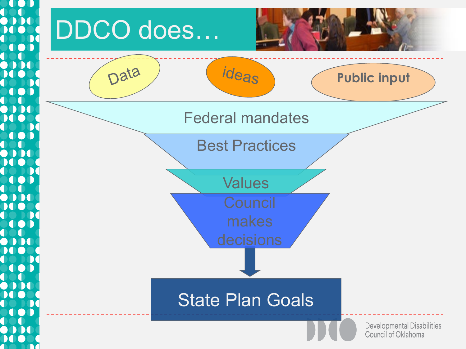

# DDCO does…



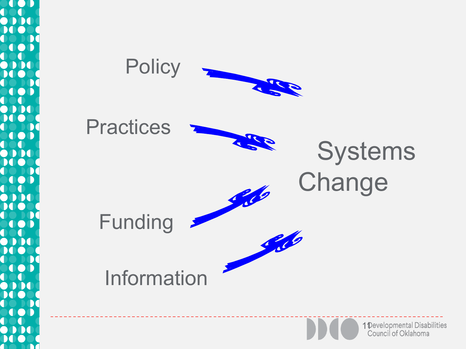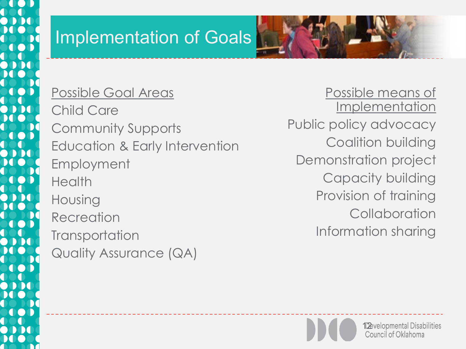### Implementation of Goals

Possible Goal Areas Child Care Community Supports Education & Early Intervention Employment **Health** Housing **Recreation Transportation** Quality Assurance (QA)

Possible means of Implementation Public policy advocacy Coalition building Demonstration project Capacity building Provision of training **Collaboration** Information sharing

**12** velopmental Disabilities<br>Council of Oklahoma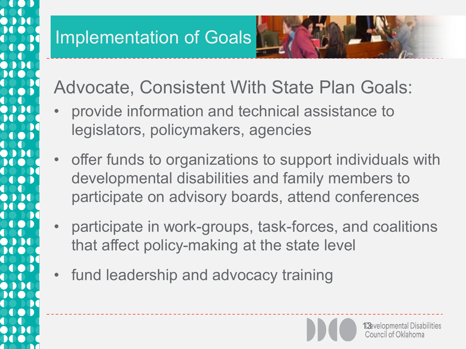### Implementation of Goals

Advocate, Consistent With State Plan Goals:

- provide information and technical assistance to legislators, policymakers, agencies
- offer funds to organizations to support individuals with developmental disabilities and family members to participate on advisory boards, attend conferences
- participate in work-groups, task-forces, and coalitions that affect policy-making at the state level
- fund leadership and advocacy training

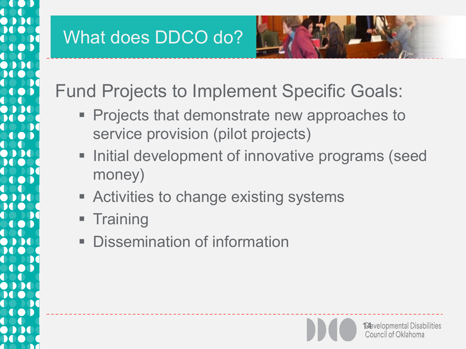### What does DDCO do?



Fund Projects to Implement Specific Goals:

- **Projects that demonstrate new approaches to** service provision (pilot projects)
- **Initial development of innovative programs (seed** money)
- **EXEC** Activities to change existing systems
- **Training**
- Dissemination of information

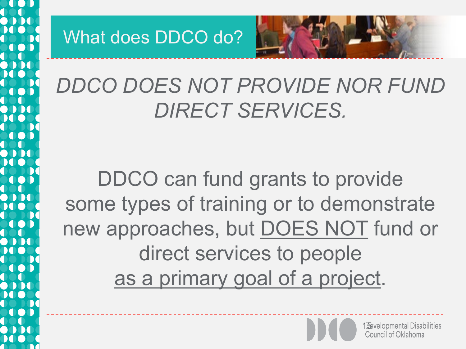What does DDCO do?



## *DDCO DOES NOT PROVIDE NOR FUND DIRECT SERVICES.*

DDCO can fund grants to provide some types of training or to demonstrate new approaches, but DOES NOT fund or direct services to people as a primary goal of a project.

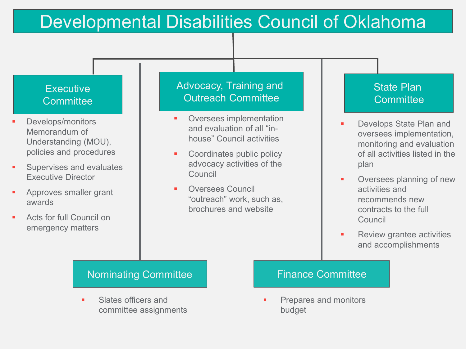### Developmental Disabilities Council of Oklahoma

#### **Executive Committee**

- Develops/monitors Memorandum of Understanding (MOU), policies and procedures
- Supervises and evaluates Executive Director
- Approves smaller grant awards
- Acts for full Council on emergency matters

#### Advocacy, Training and Outreach Committee

- **•** Oversees implementation and evaluation of all "inhouse" Council activities
- Coordinates public policy advocacy activities of the **Council**
- Oversees Council "outreach" work, such as, brochures and website

#### State Plan **Committee**

- **Develops State Plan and** oversees implementation, monitoring and evaluation of all activities listed in the plan
- **•** Oversees planning of new activities and recommends new contracts to the full Council
- **Review grantee activities** and accomplishments

#### Nominating Committee Finance Committee

 Slates officers and committee assignments

 Prepares and monitors budget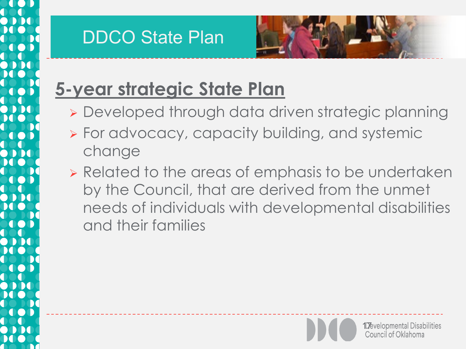### DDCO State Plan



## **5-year strategic State Plan**

- Developed through data driven strategic planning
- **> For advocacy, capacity building, and systemic** change
- **EXE** Related to the areas of emphasis to be undertaken by the Council, that are derived from the unmet needs of individuals with developmental disabilities and their families

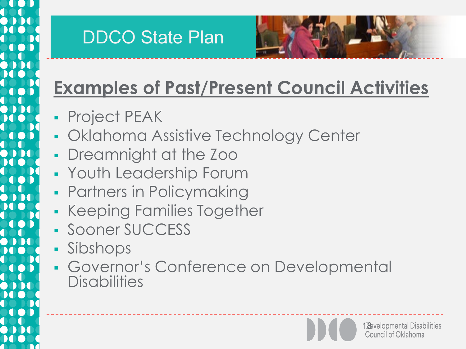### DDCO State Plan



## **Examples of Past/Present Council Activities**

- **Project PEAK**
- **Oklahoma Assistive Technology Center**
- Dreamnight at the Zoo
- Youth Leadership Forum
- **Partners in Policymaking**
- **Keeping Families Together**
- **Sooner SUCCESS**
- Sibshops
- Governor's Conference on Developmental **Disabilities**

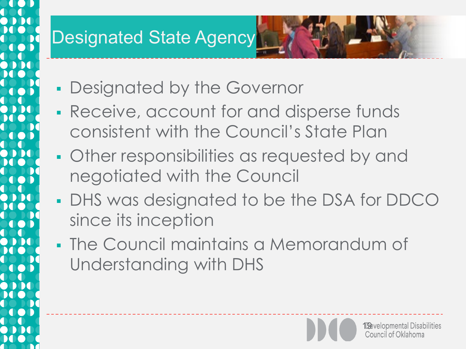### **Designated State Agency**

- **Designated by the Governor**
- Receive, account for and disperse funds consistent with the Council's State Plan
- **Other responsibilities as requested by and** negotiated with the Council
- **DHS was designated to be the DSA for DDCO** since its inception
- The Council maintains a Memorandum of Understanding with DHS

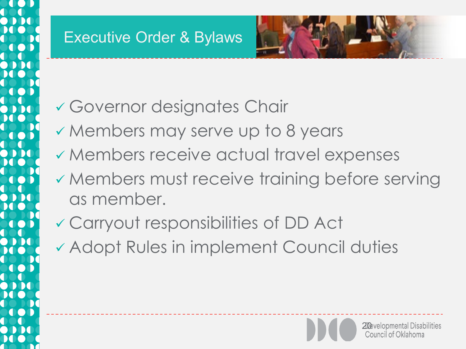### Executive Order & Bylaws



- Governor designates Chair
- Members may serve up to 8 years
- Members receive actual travel expenses
- Members must receive training before serving as member.
- Carryout responsibilities of DD Act
- Adopt Rules in implement Council duties

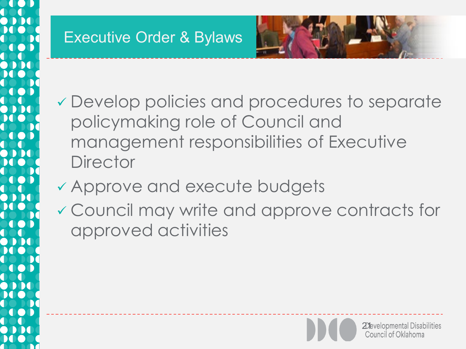### Executive Order & Bylaws



- Develop policies and procedures to separate policymaking role of Council and management responsibilities of Executive **Director**
- Approve and execute budgets
- Council may write and approve contracts for approved activities

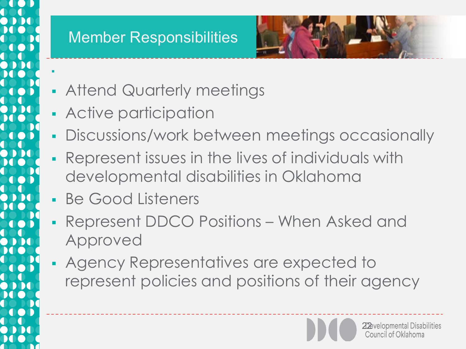

F

### Member Responsibilities



- **Attend Quarterly meetings**
- Active participation
- **Discussions/work between meetings occasionally**
- Represent issues in the lives of individuals with developmental disabilities in Oklahoma
- Be Good Listeners
- Represent DDCO Positions When Asked and Approved
- Agency Representatives are expected to represent policies and positions of their agency

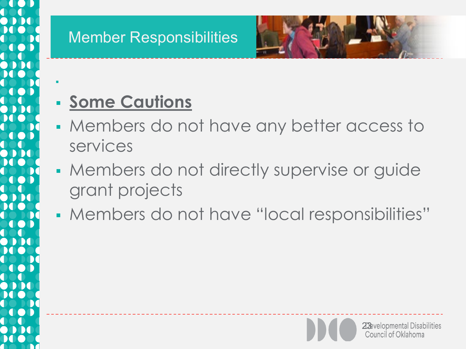

۹

### Member Responsibilities



- **Some Cautions**
- Members do not have any better access to services
- **Members do not directly supervise or guide** grant projects
- Members do not have "local responsibilities"